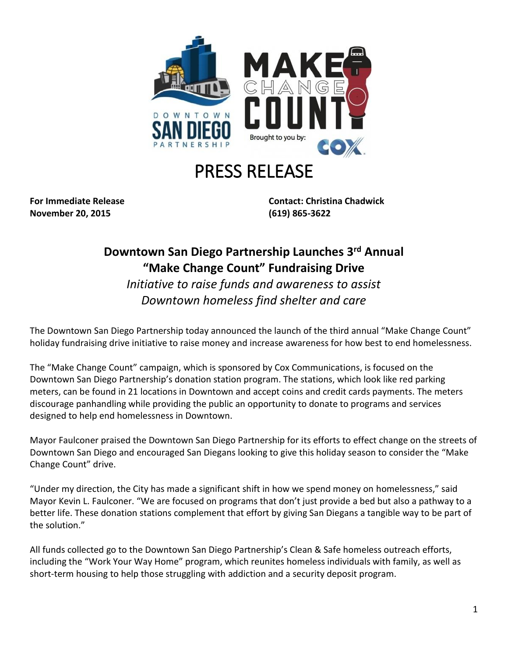

## PRESS RELEASE

**November 20, 2015 (619) 865-3622**

**For Immediate Release Contact: Christina Chadwick**

## **Downtown San Diego Partnership Launches 3rd Annual "Make Change Count" Fundraising Drive**

*Initiative to raise funds and awareness to assist Downtown homeless find shelter and care*

The Downtown San Diego Partnership today announced the launch of the third annual "Make Change Count" holiday fundraising drive initiative to raise money and increase awareness for how best to end homelessness.

The "Make Change Count" campaign, which is sponsored by Cox Communications, is focused on the Downtown San Diego Partnership's donation station program. The stations, which look like red parking meters, can be found in 21 locations in Downtown and accept coins and credit cards payments. The meters discourage panhandling while providing the public an opportunity to donate to programs and services designed to help end homelessness in Downtown.

Mayor Faulconer praised the Downtown San Diego Partnership for its efforts to effect change on the streets of Downtown San Diego and encouraged San Diegans looking to give this holiday season to consider the "Make Change Count" drive.

"Under my direction, the City has made a significant shift in how we spend money on homelessness," said Mayor Kevin L. Faulconer. "We are focused on programs that don't just provide a bed but also a pathway to a better life. These donation stations complement that effort by giving San Diegans a tangible way to be part of the solution."

All funds collected go to the Downtown San Diego Partnership's Clean & Safe homeless outreach efforts, including the "Work Your Way Home" program, which reunites homeless individuals with family, as well as short-term housing to help those struggling with addiction and a security deposit program.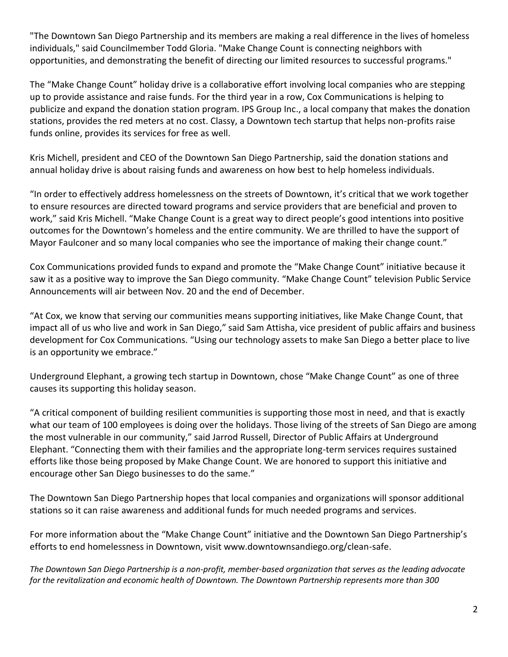"The Downtown San Diego Partnership and its members are making a real difference in the lives of homeless individuals," said Councilmember Todd Gloria. "Make Change Count is connecting neighbors with opportunities, and demonstrating the benefit of directing our limited resources to successful programs."

The "Make Change Count" holiday drive is a collaborative effort involving local companies who are stepping up to provide assistance and raise funds. For the third year in a row, Cox Communications is helping to publicize and expand the donation station program. IPS Group Inc., a local company that makes the donation stations, provides the red meters at no cost. Classy, a Downtown tech startup that helps non-profits raise funds online, provides its services for free as well.

Kris Michell, president and CEO of the Downtown San Diego Partnership, said the donation stations and annual holiday drive is about raising funds and awareness on how best to help homeless individuals.

"In order to effectively address homelessness on the streets of Downtown, it's critical that we work together to ensure resources are directed toward programs and service providers that are beneficial and proven to work," said Kris Michell. "Make Change Count is a great way to direct people's good intentions into positive outcomes for the Downtown's homeless and the entire community. We are thrilled to have the support of Mayor Faulconer and so many local companies who see the importance of making their change count."

Cox Communications provided funds to expand and promote the "Make Change Count" initiative because it saw it as a positive way to improve the San Diego community. "Make Change Count" television Public Service Announcements will air between Nov. 20 and the end of December.

"At Cox, we know that serving our communities means supporting initiatives, like Make Change Count, that impact all of us who live and work in San Diego," said Sam Attisha, vice president of public affairs and business development for Cox Communications. "Using our technology assets to make San Diego a better place to live is an opportunity we embrace."

Underground Elephant, a growing tech startup in Downtown, chose "Make Change Count" as one of three causes its supporting this holiday season.

"A critical component of building resilient communities is supporting those most in need, and that is exactly what our team of 100 employees is doing over the holidays. Those living of the streets of San Diego are among the most vulnerable in our community," said Jarrod Russell, Director of Public Affairs at Underground Elephant. "Connecting them with their families and the appropriate long-term services requires sustained efforts like those being proposed by Make Change Count. We are honored to support this initiative and encourage other San Diego businesses to do the same."

The Downtown San Diego Partnership hopes that local companies and organizations will sponsor additional stations so it can raise awareness and additional funds for much needed programs and services.

For more information about the "Make Change Count" initiative and the Downtown San Diego Partnership's efforts to end homelessness in Downtown, visit www.downtownsandiego.org/clean-safe.

*The Downtown San Diego Partnership is a non-profit, member-based organization that serves as the leading advocate for the revitalization and economic health of Downtown. The Downtown Partnership represents more than 300*